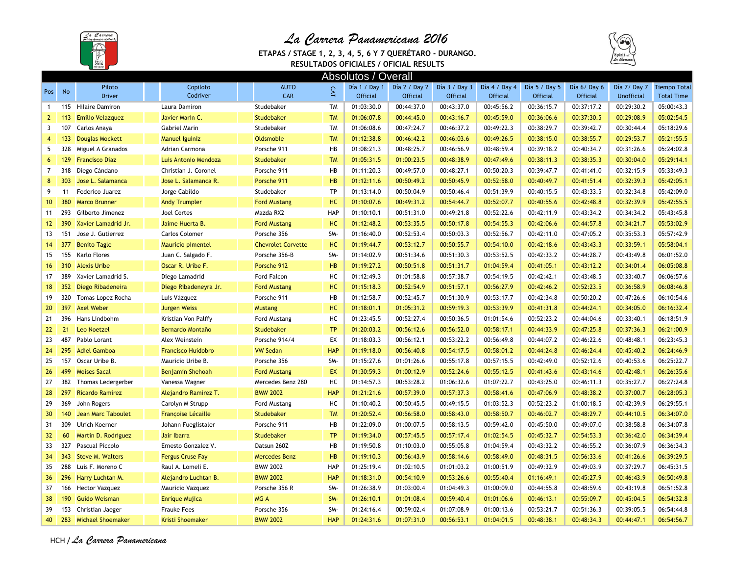

## *La Carrera Panamericana 2016*

**ETAPAS / STAGE 1, 2, 3, 4, 5, 6 Y 7 QUERÉTARO - DURANGO.**



**RESULTADOS OFICIALES / OFICIAL RESULTS**

| <b>Absolutos / Overall</b> |     |                           |  |                           |  |                           |            |                 |                 |                                           |                 |                  |                 |                   |                     |
|----------------------------|-----|---------------------------|--|---------------------------|--|---------------------------|------------|-----------------|-----------------|-------------------------------------------|-----------------|------------------|-----------------|-------------------|---------------------|
|                            |     | Piloto                    |  | Copiloto                  |  | <b>AUTO</b>               |            |                 |                 | Día 1 / Day 1 Día 2 / Day 2 Día 3 / Day 3 | Día 4 / Day 4   | Día $5/$ Day $5$ | Día 6/Day 6     | Día 7/ Day 7      | <b>Tiempo Total</b> |
| Pos                        | No  | <b>Driver</b>             |  | Codriver                  |  | CAR                       |            | <b>Official</b> | <b>Official</b> | <b>Official</b>                           | <b>Official</b> | <b>Official</b>  | <b>Official</b> | <b>Unofficial</b> | <b>Total Time</b>   |
| $\mathbf{1}$               | 115 | <b>Hilaire Damiron</b>    |  | Laura Damiron             |  | Studebaker                | <b>TM</b>  | 01:03:30.0      | 00:44:37.0      | 00:43:37.0                                | 00:45:56.2      | 00:36:15.7       | 00:37:17.2      | 00:29:30.2        | 05:00:43.3          |
| $\mathbf{2}$               | 113 | <b>Emilio Velazquez</b>   |  | Javier Marin C.           |  | <b>Studebaker</b>         | <b>TM</b>  | 01:06:07.8      | 00:44:45.0      | 00:43:16.7                                | 00:45:59.0      | 00:36:06.6       | 00:37:30.5      | 00:29:08.9        | 05:02:54.5          |
| 3                          | 107 | Carlos Anaya              |  | Gabriel Marin             |  | Studebaker                | <b>TM</b>  | 01:06:08.6      | 00:47:24.7      | 00:46:37.2                                | 00:49:22.3      | 00:38:29.7       | 00:39:42.7      | 00:30:44.4        | 05:18:29.6          |
| $\overline{4}$             | 133 | <b>Douglas Mockett</b>    |  | <b>Manuel Iguiniz</b>     |  | Oldsmoble                 | <b>TM</b>  | 01:12:38.8      | 00:46:42.2      | 00:46:03.6                                | 00:49:26.5      | 00:38:15.0       | 00:38:55.7      | 00:29:53.7        | 05:21:55.5          |
| 5                          | 328 | Miguel A Granados         |  | Adrian Carmona            |  | Porsche 911               | HB         | 01:08:21.3      | 00:48:25.7      | 00:46:56.9                                | 00:48:59.4      | 00:39:18.2       | 00:40:34.7      | 00:31:26.6        | 05:24:02.8          |
| 6                          | 129 | <b>Francisco Diaz</b>     |  | Luis Antonio Mendoza      |  | <b>Studebaker</b>         | <b>TM</b>  | 01:05:31.5      | 01:00:23.5      | 00:48:38.9                                | 00:47:49.6      | 00:38:11.3       | 00:38:35.3      | 00:30:04.0        | 05:29:14.1          |
| $\overline{7}$             | 318 | Diego Cándano             |  | Christian J. Coronel      |  | Porsche 911               | HB         | 01:11:20.3      | 00:49:57.0      | 00:48:27.1                                | 00:50:20.3      | 00:39:47.7       | 00:41:41.0      | 00:32:15.9        | 05:33:49.3          |
| 8                          | 303 | Jose L. Salamanca         |  | Jose L. Salamanca R.      |  | Porsche 911               | <b>HB</b>  | 01:12:11.6      | 00:50:49.2      | 00:50:45.9                                | 00:52:58.0      | 00:40:49.7       | 00:41:51.4      | 00:32:39.3        | 05:42:05.1          |
| 9                          | 11  | Federico Juarez           |  | Jorge Cabildo             |  | Studebaker                | <b>TP</b>  | 01:13:14.0      | 00:50:04.9      | 00:50:46.4                                | 00:51:39.9      | 00:40:15.5       | 00:43:33.5      | 00:32:34.8        | 05:42:09.0          |
| 10 <sup>°</sup>            | 380 | <b>Marco Brunner</b>      |  | <b>Andy Trumpler</b>      |  | <b>Ford Mustang</b>       | HC         | 01:10:07.6      | 00:49:31.2      | 00:54:44.7                                | 00:52:07.7      | 00:40:55.6       | 00:42:48.8      | 00:32:39.9        | 05:42:55.5          |
| 11                         | 293 | Gilberto Jimenez          |  | Joel Cortes               |  | Mazda RX2                 | HAP        | 01:10:10.1      | 00:51:31.0      | 00:49:21.8                                | 00:52:22.6      | 00:42:11.9       | 00:43:34.2      | 00:34:34.2        | 05:43:45.8          |
| 12                         | 390 | Xavier Lamadrid Jr.       |  | Jaime Huerta B.           |  | <b>Ford Mustang</b>       | HC         | 01:12:48.2      | 00:53:35.5      | 00:50:17.8                                | 00:54:55.3      | 00:42:06.6       | 00:44:57.8      | 00:34:21.7        | 05:53:02.9          |
| 13                         | 151 | Jose J. Gutierrez         |  | Carlos Colomer            |  | Porsche 356               | SM-        | 01:16:40.0      | 00:52:53.4      | 00:50:03.3                                | 00:52:56.7      | 00:42:11.0       | 00:47:05.2      | 00:35:53.3        | 05:57:42.9          |
| 14                         | 377 | <b>Benito Tagle</b>       |  | Mauricio pimentel         |  | <b>Chevrolet Corvette</b> | HC         | 01:19:44.7      | 00:53:12.7      | 00:50:55.7                                | 00:54:10.0      | 00:42:18.6       | 00:43:43.3      | 00:33:59.1        | 05:58:04.1          |
| 15                         | 155 | Karlo Flores              |  | Juan C. Salgado F.        |  | Porsche 356-B             | SM-        | 01:14:02.9      | 00:51:34.6      | 00:51:30.3                                | 00:53:52.5      | 00:42:33.2       | 00:44:28.7      | 00:43:49.8        | 06:01:52.0          |
| 16                         | 310 | <b>Alexis Uribe</b>       |  | Oscar R. Uribe F.         |  | Porsche 912               | <b>HB</b>  | 01:19:27.2      | 00:50:51.8      | 00:51:31.7                                | 01:04:59.4      | 00:41:05.1       | 00:43:12.2      | 00:34:01.4        | 06:05:08.8          |
| 17                         | 389 | Xavier Lamadrid S.        |  | Diego Lamadrid            |  | Ford Falcon               | HC         | 01:12:49.3      | 01:01:58.8      | 00:57:38.7                                | 00:54:19.5      | 00:42:42.1       | 00:43:48.5      | 00:33:40.7        | 06:06:57.6          |
| 18                         | 352 | Diego Ribadeneira         |  | Diego Ribadeneyra Jr.     |  | <b>Ford Mustang</b>       | HC         | 01:15:18.3      | 00:52:54.9      | 00:51:57.1                                | 00:56:27.9      | 00:42:46.2       | 00:52:23.5      | 00:36:58.9        | 06:08:46.8          |
| 19                         | 320 | Tomas Lopez Rocha         |  | Luis Vázquez              |  | Porsche 911               | HB         | 01:12:58.7      | 00:52:45.7      | 00:51:30.9                                | 00:53:17.7      | 00:42:34.8       | 00:50:20.2      | 00:47:26.6        | 06:10:54.6          |
| 20                         | 397 | <b>Axel Weber</b>         |  | <b>Jurgen Weiss</b>       |  | <b>Mustang</b>            | HC         | 01:18:01.1      | 01:05:31.2      | 00:59:19.3                                | 00:53:39.9      | 00:41:31.8       | 00:44:24.1      | 00:34:05.0        | 06:16:32.4          |
| 21                         | 396 | Hans Lindbohm             |  | Kristian Von Palffy       |  | Ford Mustang              | HC         | 01:23:45.5      | 00:52:27.4      | 00:50:36.5                                | 01:01:54.6      | 00:52:23.2       | 00:44:04.6      | 00:33:40.1        | 06:18:51.9          |
| 22                         | 21  | <b>Leo Noetzel</b>        |  | Bernardo Montaño          |  | Studebaker                | <b>TP</b>  | 01:20:03.2      | 00:56:12.6      | 00:56:52.0                                | 00:58:17.1      | 00:44:33.9       | 00:47:25.8      | 00:37:36.3        | 06:21:00.9          |
| 23                         | 487 | Pablo Lorant              |  | Alex Weinstein            |  | Porsche 914/4             | EX         | 01:18:03.3      | 00:56:12.1      | 00:53:22.2                                | 00:56:49.8      | 00:44:07.2       | 00:46:22.6      | 00:48:48.1        | 06:23:45.3          |
| 24                         | 295 | <b>Adiel Gamboa</b>       |  | <b>Francisco Huidobro</b> |  | <b>VW Sedan</b>           | <b>HAP</b> | 01:19:18.0      | 00:56:40.8      | 00:54:17.5                                | 00:58:01.2      | 00:44:24.8       | 00:46:24.4      | 00:45:40.2        | 06:24:46.9          |
| 25                         | 157 | Oscar Uribe B.            |  | Mauricio Uribe B.         |  | Porsche 356               | SM-        | 01:15:27.6      | 01:01:26.6      | 00:55:17.8                                | 00:57:15.5      | 00:42:49.0       | 00:52:12.6      | 00:40:53.6        | 06:25:22.7          |
| 26                         | 499 | <b>Moises Sacal</b>       |  | <b>Benjamin Shehoah</b>   |  | <b>Ford Mustang</b>       | EX         | 01:30:59.3      | 01:00:12.9      | 00:52:24.6                                | 00:55:12.5      | 00:41:43.6       | 00:43:14.6      | 00:42:48.1        | 06:26:35.6          |
| 27                         | 382 | Thomas Ledergerber        |  | Vanessa Wagner            |  | Mercedes Benz 280         | HC         | 01:14:57.3      | 00:53:28.2      | 01:06:32.6                                | 01:07:22.7      | 00:43:25.0       | 00:46:11.3      | 00:35:27.7        | 06:27:24.8          |
| 28                         | 297 | <b>Ricardo Ramirez</b>    |  | Alejandro Ramirez T.      |  | <b>BMW 2002</b>           | <b>HAP</b> | 01:21:21.6      | 00:57:39.0      | 00:57:37.3                                | 00:58:41.6      | 00:47:06.9       | 00:48:38.2      | 00:37:00.7        | 06:28:05.3          |
| 29                         | 369 | John Rogers               |  | Carolyn M Strupp          |  | Ford Mustang              | HC         | 01:10:40.2      | 00:50:45.5      | 00:49:15.5                                | 01:03:52.3      | 00:52:23.2       | 01:00:18.5      | 00:42:39.9        | 06:29:55.1          |
| 30 <sup>°</sup>            | 140 | <b>Jean Marc Taboulet</b> |  | <b>Françoise Lécaille</b> |  | Studebaker                | <b>TM</b>  | 01:20:52.4      | 00:56:58.0      | 00:58:43.0                                | 00:58:50.7      | 00:46:02.7       | 00:48:29.7      | 00:44:10.5        | 06:34:07.0          |
| 31                         | 309 | <b>Ulrich Koerner</b>     |  | Johann Fueglistaler       |  | Porsche 911               | HB         | 01:22:09.0      | 01:00:07.5      | 00:58:13.5                                | 00:59:42.0      | 00:45:50.0       | 00:49:07.0      | 00:38:58.8        | 06:34:07.8          |
| 32 <sup>2</sup>            | 60  | Martin D. Rodriguez       |  | Jair Ibarra               |  | <b>Studebaker</b>         | <b>TP</b>  | 01:19:34.0      | 00:57:45.5      | 00:57:17.4                                | 01:02:54.5      | 00:45:32.7       | 00:54:53.3      | 00:36:42.0        | 06:34:39.4          |
| 33                         | 327 | Pascual Piccolo           |  | Ernesto Gonzalez V.       |  | Datsun 260Z               | HB         | 01:19:50.8      | 01:10:03.0      | 00:55:05.8                                | 01:04:59.4      | 00:43:32.2       | 00:46:55.2      | 00:36:07.9        | 06:36:34.3          |
| 34                         | 343 | <b>Steve M. Walters</b>   |  | <b>Fergus Cruse Fay</b>   |  | <b>Mercedes Benz</b>      | <b>HB</b>  | 01:19:10.3      | 00:56:43.9      | 00:58:14.6                                | 00:58:49.0      | 00:48:31.5       | 00:56:33.6      | 00:41:26.6        | 06:39:29.5          |
| 35                         | 288 | Luis F. Moreno C          |  | Raul A. Lomeli E.         |  | <b>BMW 2002</b>           | HAP        | 01:25:19.4      | 01:02:10.5      | 01:01:03.2                                | 01:00:51.9      | 00:49:32.9       | 00:49:03.9      | 00:37:29.7        | 06:45:31.5          |
| 36                         | 296 | Harry Luchtan M.          |  | Alejandro Luchtan B.      |  | <b>BMW 2002</b>           | <b>HAP</b> | 01:18:31.0      | 00:54:10.9      | 00:53:26.6                                | 00:55:40.4      | 01:16:49.1       | 00:45:27.9      | 00:46:43.9        | 06:50:49.8          |
| 37                         |     | 166 Hector Vazquez        |  | Mauricio Vazquez          |  | Porsche 356 R             | SM-        | 01:26:38.9      | 01:03:00.4      | 01:04:49.3                                | 01:00:09.0      | 00:44:55.8       | 00:48:59.6      | 00:43:19.8        | 06:51:52.8          |
| 38                         | 190 | <b>Guido Weisman</b>      |  | <b>Enrique Mujica</b>     |  | MG A                      | SM-        | 01:26:10.1      | 01:01:08.4      | 00:59:40.4                                | 01:01:06.6      | 00:46:13.1       | 00:55:09.7      | 00:45:04.5        | 06:54:32.8          |
| 39                         |     | 153 Christian Jaeger      |  | <b>Frauke Fees</b>        |  | Porsche 356               | SM-        | 01:24:16.4      | 00:59:02.4      | 01:07:08.9                                | 01:00:13.6      | 00:53:21.7       | 00:51:36.3      | 00:39:05.5        | 06:54:44.8          |
| 40                         | 283 | <b>Michael Shoemaker</b>  |  | <b>Kristi Shoemaker</b>   |  | <b>BMW 2002</b>           | <b>HAP</b> | 01:24:31.6      | 01:07:31.0      | 00:56:53.1                                | 01:04:01.5      | 00:48:38.1       | 00:48:34.3      | 00:44:47.1        | 06:54:56.7          |